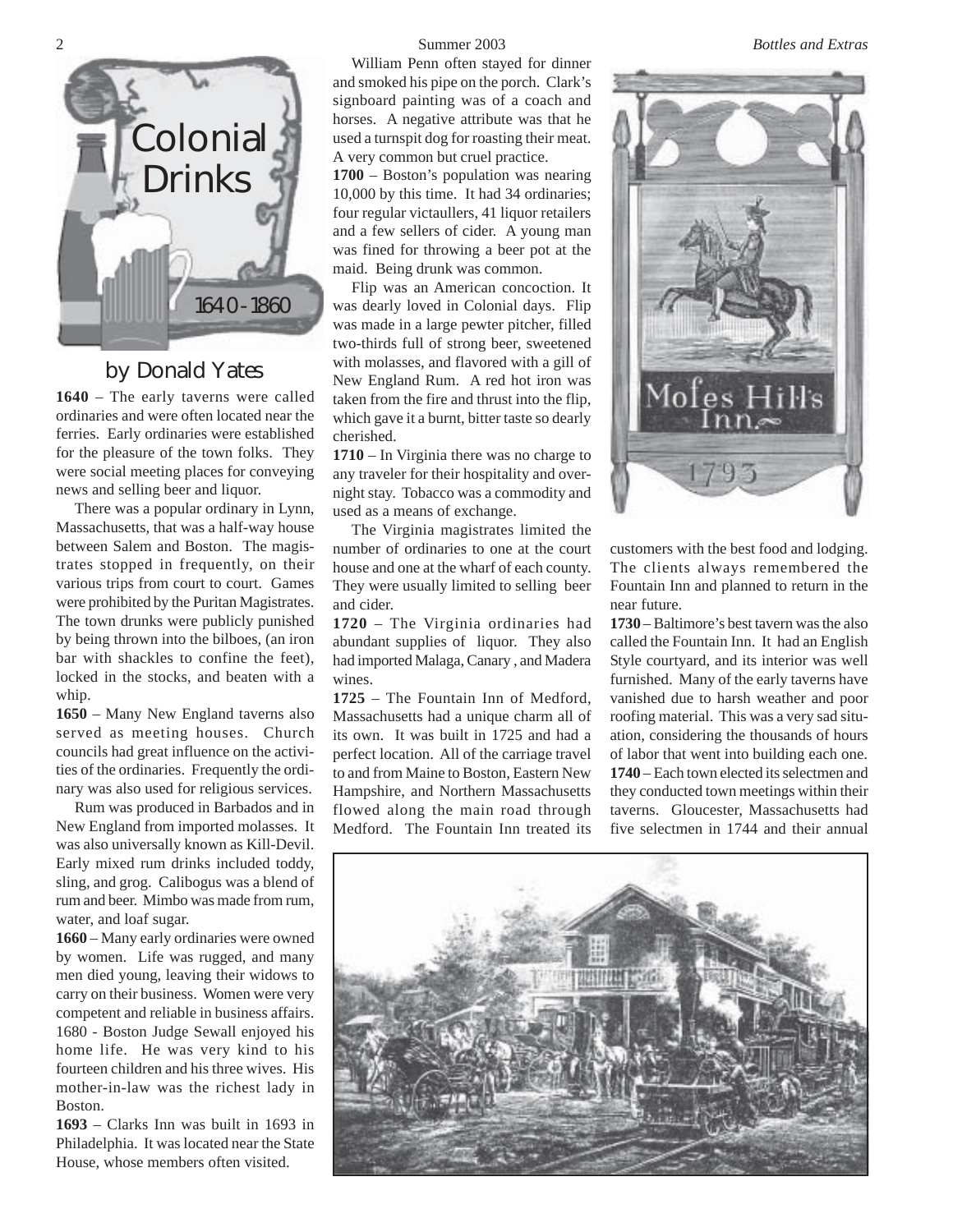

# by Donald Yates

**1640** – The early taverns were called ordinaries and were often located near the ferries. Early ordinaries were established for the pleasure of the town folks. They were social meeting places for conveying news and selling beer and liquor.

There was a popular ordinary in Lynn, Massachusetts, that was a half-way house between Salem and Boston. The magistrates stopped in frequently, on their various trips from court to court. Games were prohibited by the Puritan Magistrates. The town drunks were publicly punished by being thrown into the bilboes, (an iron bar with shackles to confine the feet), locked in the stocks, and beaten with a whip.

**1650** – Many New England taverns also served as meeting houses. Church councils had great influence on the activities of the ordinaries. Frequently the ordinary was also used for religious services.

Rum was produced in Barbados and in New England from imported molasses. It was also universally known as Kill-Devil. Early mixed rum drinks included toddy, sling, and grog. Calibogus was a blend of rum and beer. Mimbo was made from rum, water, and loaf sugar.

**1660** – Many early ordinaries were owned by women. Life was rugged, and many men died young, leaving their widows to carry on their business. Women were very competent and reliable in business affairs. 1680 - Boston Judge Sewall enjoyed his home life. He was very kind to his fourteen children and his three wives. His mother-in-law was the richest lady in Boston.

**1693** – Clarks Inn was built in 1693 in Philadelphia. It was located near the State House, whose members often visited.

William Penn often stayed for dinner and smoked his pipe on the porch. Clark's signboard painting was of a coach and horses. A negative attribute was that he used a turnspit dog for roasting their meat. A very common but cruel practice. **1700** – Boston's population was nearing 10,000 by this time. It had 34 ordinaries; four regular victaullers, 41 liquor retailers and a few sellers of cider. A young man was fined for throwing a beer pot at the maid. Being drunk was common.

Flip was an American concoction. It was dearly loved in Colonial days. Flip was made in a large pewter pitcher, filled two-thirds full of strong beer, sweetened with molasses, and flavored with a gill of New England Rum. A red hot iron was taken from the fire and thrust into the flip, which gave it a burnt, bitter taste so dearly cherished.

**1710** – In Virginia there was no charge to any traveler for their hospitality and overnight stay. Tobacco was a commodity and used as a means of exchange.

The Virginia magistrates limited the number of ordinaries to one at the court house and one at the wharf of each county. They were usually limited to selling beer and cider.

**1720** – The Virginia ordinaries had abundant supplies of liquor. They also had imported Malaga, Canary , and Madera wines.

**1725** – The Fountain Inn of Medford, Massachusetts had a unique charm all of its own. It was built in 1725 and had a perfect location. All of the carriage travel to and from Maine to Boston, Eastern New Hampshire, and Northern Massachusetts flowed along the main road through Medford. The Fountain Inn treated its



customers with the best food and lodging. The clients always remembered the Fountain Inn and planned to return in the near future.

**1730** – Baltimore's best tavern was the also called the Fountain Inn. It had an English Style courtyard, and its interior was well furnished. Many of the early taverns have vanished due to harsh weather and poor roofing material. This was a very sad situation, considering the thousands of hours of labor that went into building each one. **1740** – Each town elected its selectmen and they conducted town meetings within their taverns. Gloucester, Massachusetts had five selectmen in 1744 and their annual



2 Summer 2003 *Bottles and Extras*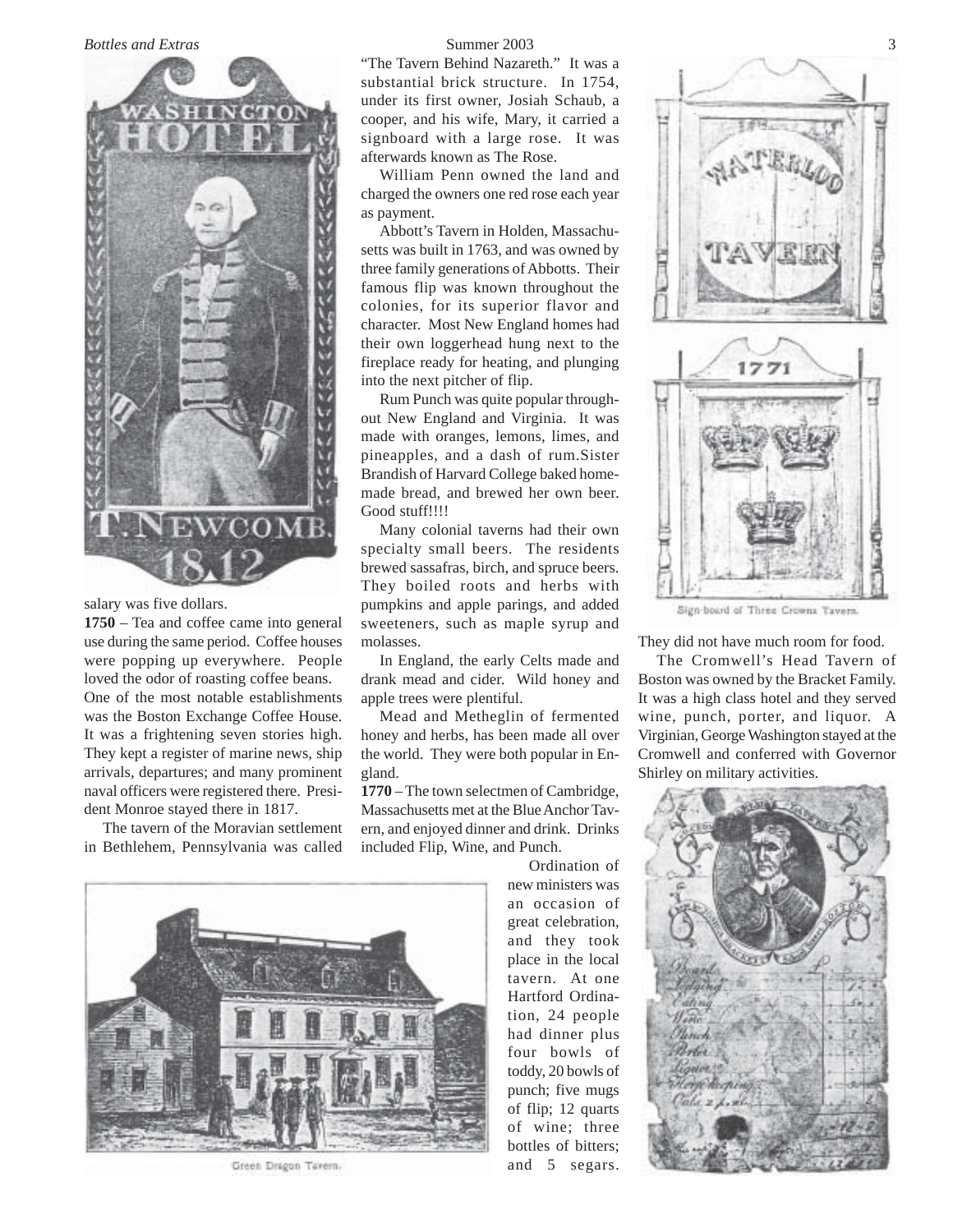### *Bottles and Extras* Summer 2003 3



salary was five dollars.

**1750** – Tea and coffee came into general use during the same period. Coffee houses were popping up everywhere. People loved the odor of roasting coffee beans. One of the most notable establishments was the Boston Exchange Coffee House. It was a frightening seven stories high. They kept a register of marine news, ship arrivals, departures; and many prominent naval officers were registered there. President Monroe stayed there in 1817.

The tavern of the Moravian settlement in Bethlehem, Pennsylvania was called

"The Tavern Behind Nazareth." It was a substantial brick structure. In 1754, under its first owner, Josiah Schaub, a cooper, and his wife, Mary, it carried a signboard with a large rose. It was afterwards known as The Rose.

William Penn owned the land and charged the owners one red rose each year as payment.

Abbott's Tavern in Holden, Massachusetts was built in 1763, and was owned by three family generations of Abbotts. Their famous flip was known throughout the colonies, for its superior flavor and character. Most New England homes had their own loggerhead hung next to the fireplace ready for heating, and plunging into the next pitcher of flip.

Rum Punch was quite popular throughout New England and Virginia. It was made with oranges, lemons, limes, and pineapples, and a dash of rum.Sister Brandish of Harvard College baked homemade bread, and brewed her own beer. Good stuff!!!!

Many colonial taverns had their own specialty small beers. The residents brewed sassafras, birch, and spruce beers. They boiled roots and herbs with pumpkins and apple parings, and added sweeteners, such as maple syrup and molasses.

In England, the early Celts made and drank mead and cider. Wild honey and apple trees were plentiful.

Mead and Metheglin of fermented honey and herbs, has been made all over the world. They were both popular in England.

**1770** – The town selectmen of Cambridge, Massachusetts met at the Blue Anchor Tavern, and enjoyed dinner and drink. Drinks included Flip, Wine, and Punch.

> Ordination of new ministers was an occasion of great celebration, and they took place in the local tavern. At one Hartford Ordination, 24 people had dinner plus four bowls of toddy, 20 bowls of punch; five mugs of flip; 12 quarts of wine; three bottles of bitters; and 5 segars.



Green Dragon Tavern.



Sign-board of Three Crowns Tavers.

They did not have much room for food.

The Cromwell's Head Tavern of Boston was owned by the Bracket Family. It was a high class hotel and they served wine, punch, porter, and liquor. A Virginian, George Washington stayed at the Cromwell and conferred with Governor Shirley on military activities.